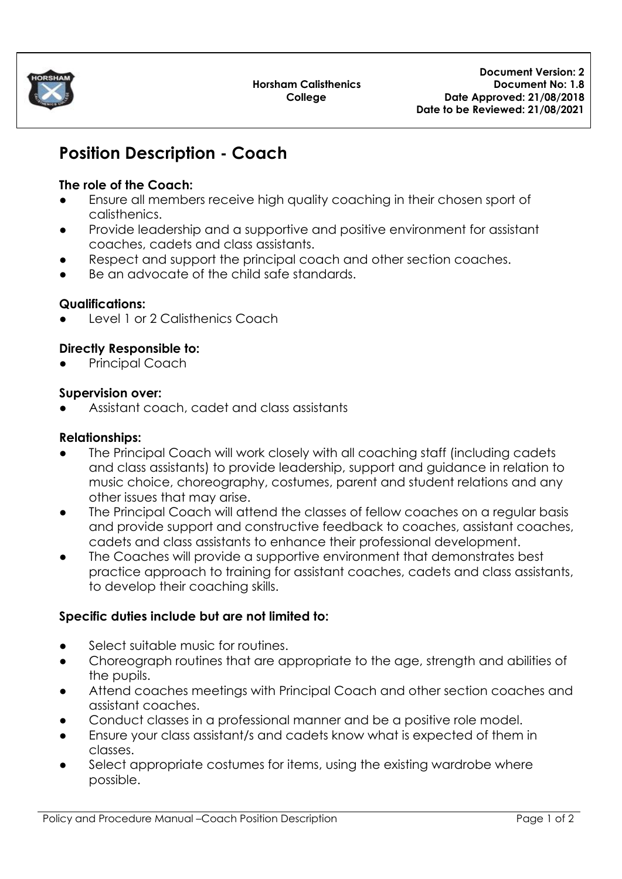

# **Position Description - Coach**

## **The role of the Coach:**

- Ensure all members receive high quality coaching in their chosen sport of calisthenics.
- Provide leadership and a supportive and positive environment for assistant coaches, cadets and class assistants.
- Respect and support the principal coach and other section coaches.
- Be an advocate of the child safe standards.

#### **Qualifications:**

Level 1 or 2 Calisthenics Coach

#### **Directly Responsible to:**

**Principal Coach** 

#### **Supervision over:**

Assistant coach, cadet and class assistants

## **Relationships:**

- The Principal Coach will work closely with all coaching staff (including cadets and class assistants) to provide leadership, support and guidance in relation to music choice, choreography, costumes, parent and student relations and any other issues that may arise.
- The Principal Coach will attend the classes of fellow coaches on a regular basis and provide support and constructive feedback to coaches, assistant coaches, cadets and class assistants to enhance their professional development.
- The Coaches will provide a supportive environment that demonstrates best practice approach to training for assistant coaches, cadets and class assistants, to develop their coaching skills.

# **Specific duties include but are not limited to:**

- Select suitable music for routines.
- Choreograph routines that are appropriate to the age, strength and abilities of the pupils.
- Attend coaches meetings with Principal Coach and other section coaches and assistant coaches.
- Conduct classes in a professional manner and be a positive role model.
- Ensure your class assistant/s and cadets know what is expected of them in classes.
- Select appropriate costumes for items, using the existing wardrobe where possible.